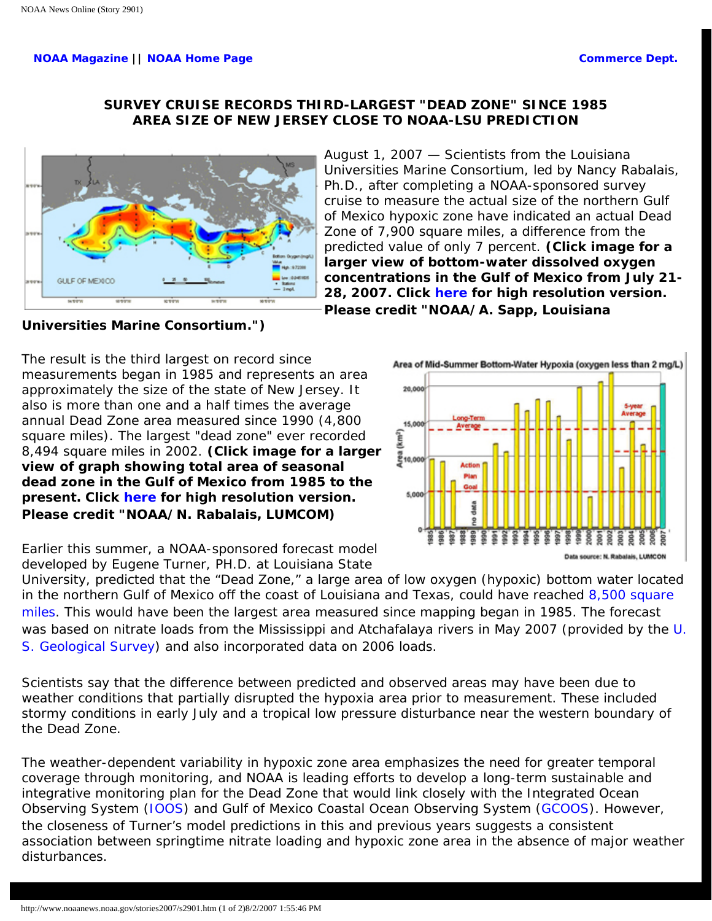## **[NOAA Magazine](http://www.magazine.noaa.gov/) || [NOAA Home Page](http://www.noaa.gov/) [Commerce Dept.](http://www.commerce.gov/)**

## **SURVEY CRUISE RECORDS THIRD-LARGEST "DEAD ZONE" SINCE 1985 AREA SIZE OF NEW JERSEY CLOSE TO NOAA-LSU PREDICTION**



August 1, 2007 — Scientists from the Louisiana Universities Marine Consortium, led by Nancy Rabalais, Ph.D., after completing a NOAA-sponsored survey cruise to measure the actual size of the northern Gulf of Mexico hypoxic zone have indicated an actual Dead Zone of 7,900 square miles, a difference from the predicted value of only 7 percent. **(Click image for a larger view of bottom-water dissolved oxygen concentrations in the Gulf of Mexico from July 21- 28, 2007. Click [here](http://www.noaanews.noaa.gov/stories2007/images/deadzone.jpg) for high resolution version. Please credit "NOAA/A. Sapp, Louisiana** 

**Universities Marine Consortium.")**

The result is the third largest on record since measurements began in 1985 and represents an area approximately the size of the state of New Jersey. It also is more than one and a half times the average annual Dead Zone area measured since 1990 (4,800 square miles). The largest "dead zone" ever recorded 8,494 square miles in 2002. **(Click image for a larger view of graph showing total area of seasonal dead zone in the Gulf of Mexico from 1985 to the present. Click [here](http://www.noaanews.noaa.gov/stories2007/images/deadzone2.jpg) for high resolution version. Please credit "NOAA/N. Rabalais, LUMCOM)**



Earlier this summer, a NOAA-sponsored forecast model developed by Eugene Turner, PH.D. at Louisiana State

University, predicted that the "Dead Zone," a large area of low oxygen (hypoxic) bottom water located in the northern Gulf of Mexico off the coast of Louisiana and Texas, could have reached 8,500 square [miles.](http://www.noaanews.noaa.gov/stories2007/s2891.htm) This would have been the largest area measured since mapping began in 1985. The forecast was based on nitrate loads from the Mississippi and Atchafalaya rivers in May 2007 (provided by the [U.](http://www.usgs.gov/) [S. Geological Survey](http://www.usgs.gov/)) and also incorporated data on 2006 loads.

Scientists say that the difference between predicted and observed areas may have been due to weather conditions that partially disrupted the hypoxia area prior to measurement. These included stormy conditions in early July and a tropical low pressure disturbance near the western boundary of the Dead Zone.

The weather-dependent variability in hypoxic zone area emphasizes the need for greater temporal coverage through monitoring, and NOAA is leading efforts to develop a long-term sustainable and integrative monitoring plan for the Dead Zone that would link closely with the Integrated Ocean Observing System [\(IOOS\)](http://opendap.co-ops.nos.noaa.gov/content/) and Gulf of Mexico Coastal Ocean Observing System ([GCOOS\)](http://www.csc.noaa.gov/ras/gcoos.html). However, the closeness of Turner's model predictions in this and previous years suggests a consistent association between springtime nitrate loading and hypoxic zone area in the absence of major weather disturbances.